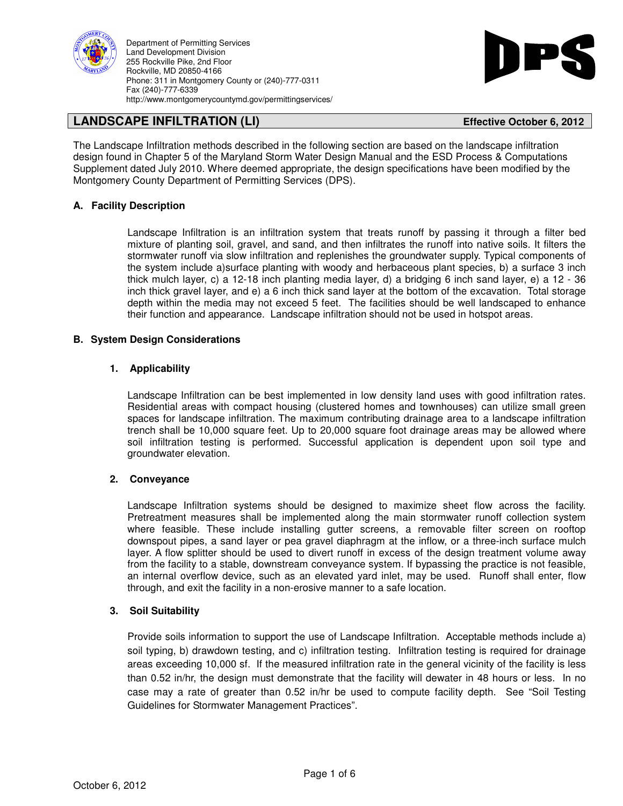



# **LANDSCAPE INFILTRATION (LI) Effective October 6, 2012**

The Landscape Infiltration methods described in the following section are based on the landscape infiltration design found in Chapter 5 of the Maryland Storm Water Design Manual and the ESD Process & Computations Supplement dated July 2010. Where deemed appropriate, the design specifications have been modified by the Montgomery County Department of Permitting Services (DPS).

# **A. Facility Description**

Landscape Infiltration is an infiltration system that treats runoff by passing it through a filter bed mixture of planting soil, gravel, and sand, and then infiltrates the runoff into native soils. It filters the stormwater runoff via slow infiltration and replenishes the groundwater supply. Typical components of the system include a)surface planting with woody and herbaceous plant species, b) a surface 3 inch thick mulch layer, c) a 12-18 inch planting media layer, d) a bridging 6 inch sand layer, e) a 12 - 36 inch thick gravel layer, and e) a 6 inch thick sand layer at the bottom of the excavation. Total storage depth within the media may not exceed 5 feet. The facilities should be well landscaped to enhance their function and appearance. Landscape infiltration should not be used in hotspot areas.

### **B. System Design Considerations**

# **1. Applicability**

Landscape Infiltration can be best implemented in low density land uses with good infiltration rates. Residential areas with compact housing (clustered homes and townhouses) can utilize small green spaces for landscape infiltration. The maximum contributing drainage area to a landscape infiltration trench shall be 10,000 square feet. Up to 20,000 square foot drainage areas may be allowed where soil infiltration testing is performed. Successful application is dependent upon soil type and groundwater elevation.

# **2. Conveyance**

Landscape Infiltration systems should be designed to maximize sheet flow across the facility. Pretreatment measures shall be implemented along the main stormwater runoff collection system where feasible. These include installing gutter screens, a removable filter screen on rooftop downspout pipes, a sand layer or pea gravel diaphragm at the inflow, or a three-inch surface mulch layer. A flow splitter should be used to divert runoff in excess of the design treatment volume away from the facility to a stable, downstream conveyance system. If bypassing the practice is not feasible, an internal overflow device, such as an elevated yard inlet, may be used. Runoff shall enter, flow through, and exit the facility in a non-erosive manner to a safe location.

# **3. Soil Suitability**

Provide soils information to support the use of Landscape Infiltration. Acceptable methods include a) soil typing, b) drawdown testing, and c) infiltration testing. Infiltration testing is required for drainage areas exceeding 10,000 sf. If the measured infiltration rate in the general vicinity of the facility is less than 0.52 in/hr, the design must demonstrate that the facility will dewater in 48 hours or less. In no case may a rate of greater than 0.52 in/hr be used to compute facility depth. See "Soil Testing Guidelines for Stormwater Management Practices".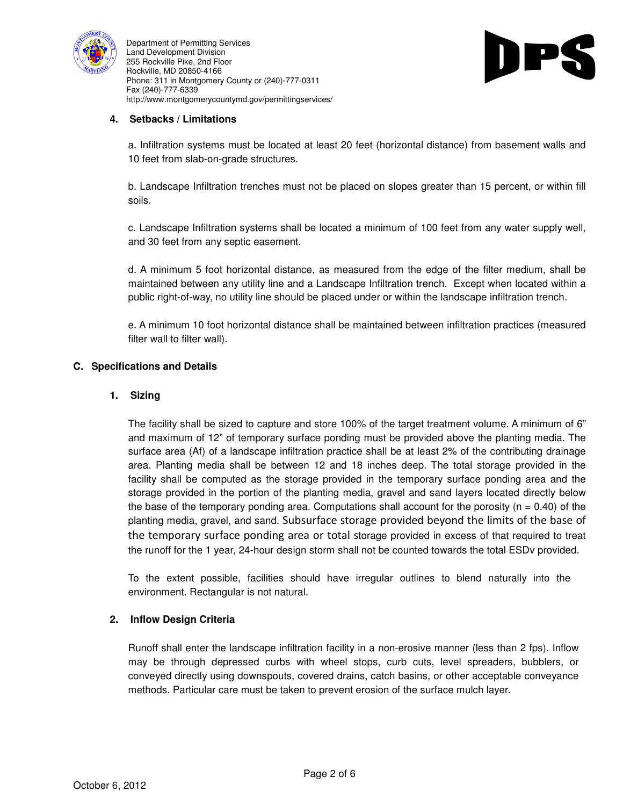



# **4. Setbacks / Limitations**

a. Infiltration systems must be located at least 20 feet (horizontal distance) from basement walls and 10 feet from slab-on-grade structures.

b. Landscape Infiltration trenches must not be placed on slopes greater than 15 percent, or within fill soils.

c. Landscape Infiltration systems shall be located a minimum of 100 feet from any water supply well, and 30 feet from any septic easement.

d. A minimum 5 foot horizontal distance, as measured from the edge of the filter medium, shall be maintained between any utility line and a Landscape Infiltration trench. Except when located within a public right-of-way, no utility line should be placed under or within the landscape infiltration trench.

e. A minimum 10 foot horizontal distance shall be maintained between infiltration practices (measured filter wall to filter wall).

# **C. Specifications and Details**

### **1. Sizing**

The facility shall be sized to capture and store 100% of the target treatment volume. A minimum of 6" and maximum of 12" of temporary surface ponding must be provided above the planting media. The surface area (Af) of a landscape infiltration practice shall be at least 2% of the contributing drainage area. Planting media shall be between 12 and 18 inches deep. The total storage provided in the facility shall be computed as the storage provided in the temporary surface ponding area and the storage provided in the portion of the planting media, gravel and sand layers located directly below the base of the temporary ponding area. Computations shall account for the porosity ( $n = 0.40$ ) of the planting media, gravel, and sand. Subsurface storage provided beyond the limits of the base of the temporary surface ponding area or total storage provided in excess of that required to treat the runoff for the 1 year, 24-hour design storm shall not be counted towards the total ESDv provided.

To the extent possible, facilities should have irregular outlines to blend naturally into the environment. Rectangular is not natural.

# **2. Inflow Design Criteria**

Runoff shall enter the landscape infiltration facility in a non‐erosive manner (less than 2 fps). Inflow may be through depressed curbs with wheel stops, curb cuts, level spreaders, bubblers, or conveyed directly using downspouts, covered drains, catch basins, or other acceptable conveyance methods. Particular care must be taken to prevent erosion of the surface mulch layer.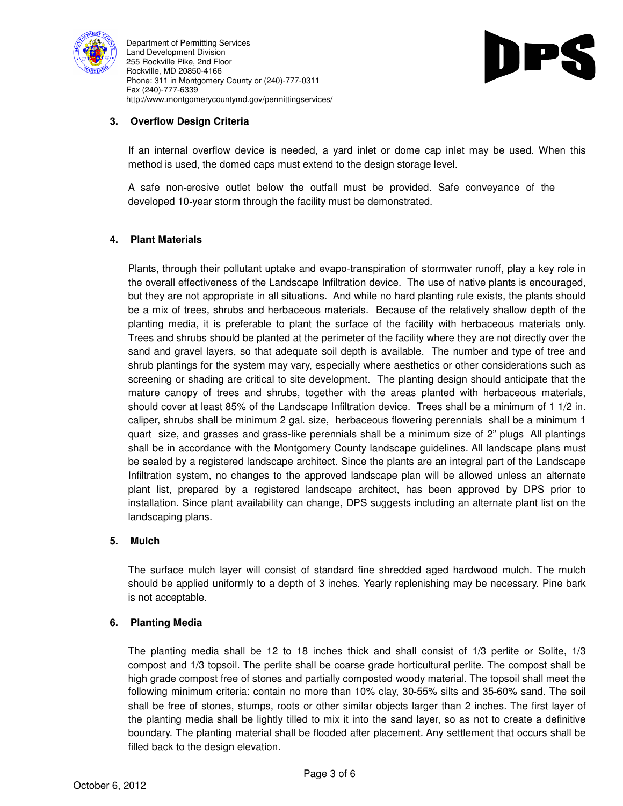



# **3. Overflow Design Criteria**

If an internal overflow device is needed, a yard inlet or dome cap inlet may be used. When this method is used, the domed caps must extend to the design storage level.

A safe non‐erosive outlet below the outfall must be provided. Safe conveyance of the developed 10‐year storm through the facility must be demonstrated.

# **4. Plant Materials**

Plants, through their pollutant uptake and evapo-transpiration of stormwater runoff, play a key role in the overall effectiveness of the Landscape Infiltration device. The use of native plants is encouraged, but they are not appropriate in all situations. And while no hard planting rule exists, the plants should be a mix of trees, shrubs and herbaceous materials. Because of the relatively shallow depth of the planting media, it is preferable to plant the surface of the facility with herbaceous materials only. Trees and shrubs should be planted at the perimeter of the facility where they are not directly over the sand and gravel layers, so that adequate soil depth is available. The number and type of tree and shrub plantings for the system may vary, especially where aesthetics or other considerations such as screening or shading are critical to site development. The planting design should anticipate that the mature canopy of trees and shrubs, together with the areas planted with herbaceous materials, should cover at least 85% of the Landscape Infiltration device. Trees shall be a minimum of 1 1/2 in. caliper, shrubs shall be minimum 2 gal. size, herbaceous flowering perennials shall be a minimum 1 quart size, and grasses and grass-like perennials shall be a minimum size of 2" plugs All plantings shall be in accordance with the Montgomery County landscape guidelines. All landscape plans must be sealed by a registered landscape architect. Since the plants are an integral part of the Landscape Infiltration system, no changes to the approved landscape plan will be allowed unless an alternate plant list, prepared by a registered landscape architect, has been approved by DPS prior to installation. Since plant availability can change, DPS suggests including an alternate plant list on the landscaping plans.

# **5. Mulch**

The surface mulch layer will consist of standard fine shredded aged hardwood mulch. The mulch should be applied uniformly to a depth of 3 inches. Yearly replenishing may be necessary. Pine bark is not acceptable.

# **6. Planting Media**

The planting media shall be 12 to 18 inches thick and shall consist of 1/3 perlite or Solite, 1/3 compost and 1/3 topsoil. The perlite shall be coarse grade horticultural perlite. The compost shall be high grade compost free of stones and partially composted woody material. The topsoil shall meet the following minimum criteria: contain no more than 10% clay, 30‐55% silts and 35‐60% sand. The soil shall be free of stones, stumps, roots or other similar objects larger than 2 inches. The first layer of the planting media shall be lightly tilled to mix it into the sand layer, so as not to create a definitive boundary. The planting material shall be flooded after placement. Any settlement that occurs shall be filled back to the design elevation.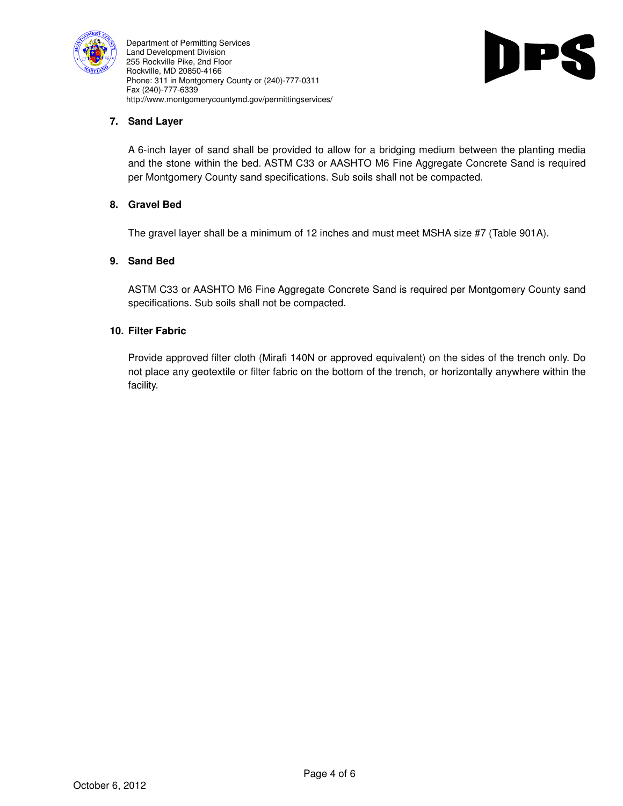



# **7. Sand Layer**

A 6-inch layer of sand shall be provided to allow for a bridging medium between the planting media and the stone within the bed. ASTM C33 or AASHTO M6 Fine Aggregate Concrete Sand is required per Montgomery County sand specifications. Sub soils shall not be compacted.

# **8. Gravel Bed**

The gravel layer shall be a minimum of 12 inches and must meet MSHA size #7 (Table 901A).

### **9. Sand Bed**

ASTM C33 or AASHTO M6 Fine Aggregate Concrete Sand is required per Montgomery County sand specifications. Sub soils shall not be compacted.

### **10. Filter Fabric**

Provide approved filter cloth (Mirafi 140N or approved equivalent) on the sides of the trench only. Do not place any geotextile or filter fabric on the bottom of the trench, or horizontally anywhere within the facility.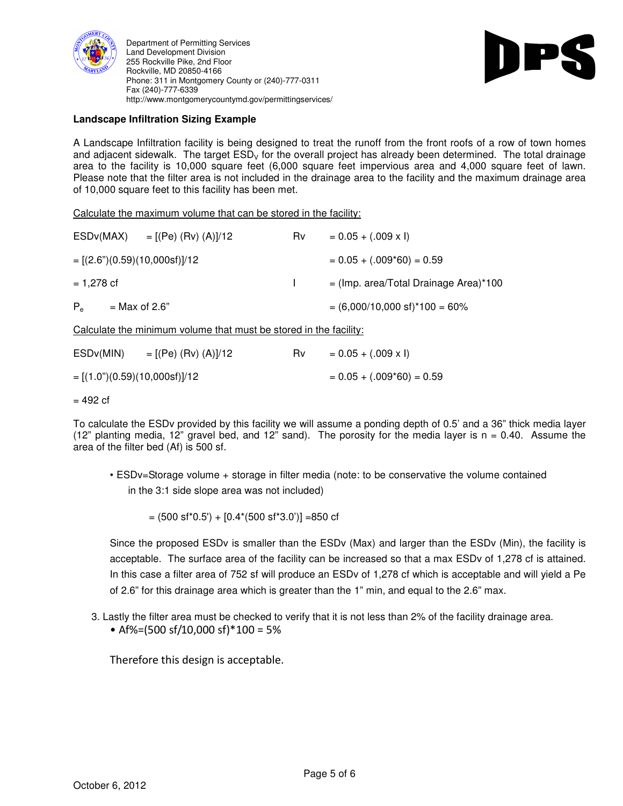



# **Landscape Infiltration Sizing Example**

A Landscape Infiltration facility is being designed to treat the runoff from the front roofs of a row of town homes and adjacent sidewalk. The target  $ESD<sub>V</sub>$  for the overall project has already been determined. The total drainage area to the facility is 10,000 square feet (6,000 square feet impervious area and 4,000 square feet of lawn. Please note that the filter area is not included in the drainage area to the facility and the maximum drainage area of 10,000 square feet to this facility has been met.

Calculate the maximum volume that can be stored in the facility:

| ESDv(MAX)    | = [(Pe) (Rv) (A)]/12           | Rv | $= 0.05 + (.009 \times I)$               |  |
|--------------|--------------------------------|----|------------------------------------------|--|
|              | $=[(2.6n)(0.59)(10,000sf)]/12$ |    | $= 0.05 + (.009*60) = 0.59$              |  |
| $= 1,278$ cf |                                |    | $=$ (Imp. area/Total Drainage Area)*100  |  |
| $P_{\rm e}$  | $=$ Max of 2.6"                |    | $= (6,000/10,000 \text{ sf})*100 = 60\%$ |  |

Calculate the minimum volume that must be stored in the facility:

| ESD <sub>v</sub> (MIN)            | $=$ [(Pe) (Rv) (A)]/12 | R٧ | $= 0.05 + (.009 \times I)$  |
|-----------------------------------|------------------------|----|-----------------------------|
| $= [(1.0") (0.59) (10,000sf)]/12$ |                        |    | $= 0.05 + (.009*60) = 0.59$ |

 $= 492$  cf

To calculate the ESDv provided by this facility we will assume a ponding depth of 0.5' and a 36" thick media layer (12" planting media, 12" gravel bed, and 12" sand). The porosity for the media layer is  $n = 0.40$ . Assume the area of the filter bed (Af) is 500 sf.

• ESDv=Storage volume + storage in filter media (note: to be conservative the volume contained in the 3:1 side slope area was not included)

 $= (500 \text{ s}f^*0.5') + [0.4^*(500 \text{ s}f^*3.0')] = 850 \text{ cf}$ 

Since the proposed ESDv is smaller than the ESDv (Max) and larger than the ESDv (Min), the facility is acceptable. The surface area of the facility can be increased so that a max ESDv of 1,278 cf is attained. In this case a filter area of 752 sf will produce an ESDv of 1,278 cf which is acceptable and will yield a Pe of 2.6" for this drainage area which is greater than the 1" min, and equal to the 2.6" max.

- 3. Lastly the filter area must be checked to verify that it is not less than 2% of the facility drainage area.
	- Af%=(500 sf/10,000 sf)\*100 = 5%

Therefore this design is acceptable.